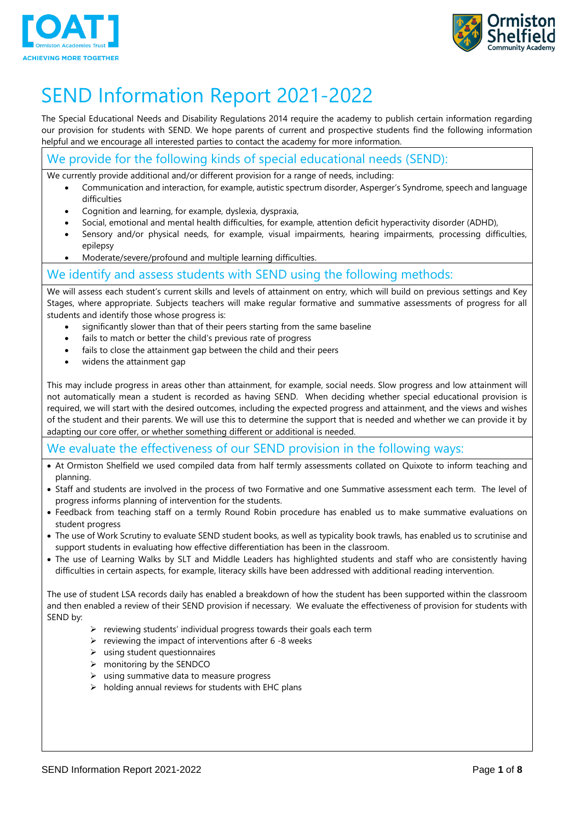



# SEND Information Report 2021-2022

The Special Educational Needs and Disability Regulations 2014 require the academy to publish certain information regarding our provision for students with SEND. We hope parents of current and prospective students find the following information helpful and we encourage all interested parties to contact the academy for more information.

### We provide for the following kinds of special educational needs (SEND):

We currently provide additional and/or different provision for a range of needs, including:

- Communication and interaction, for example, autistic spectrum disorder, Asperger's Syndrome, speech and language difficulties
- Cognition and learning, for example, dyslexia, dyspraxia,
- Social, emotional and mental health difficulties, for example, attention deficit hyperactivity disorder (ADHD),
- Sensory and/or physical needs, for example, visual impairments, hearing impairments, processing difficulties, epilepsy
- Moderate/severe/profound and multiple learning difficulties.

#### We identify and assess students with SEND using the following methods:

We will assess each student's current skills and levels of attainment on entry, which will build on previous settings and Key Stages, where appropriate. Subjects teachers will make regular formative and summative assessments of progress for all students and identify those whose progress is:

- significantly slower than that of their peers starting from the same baseline
- fails to match or better the child's previous rate of progress
- fails to close the attainment gap between the child and their peers
- widens the attainment gap

This may include progress in areas other than attainment, for example, social needs. Slow progress and low attainment will not automatically mean a student is recorded as having SEND. When deciding whether special educational provision is required, we will start with the desired outcomes, including the expected progress and attainment, and the views and wishes of the student and their parents. We will use this to determine the support that is needed and whether we can provide it by adapting our core offer, or whether something different or additional is needed.

#### We evaluate the effectiveness of our SEND provision in the following ways:

- At Ormiston Shelfield we used compiled data from half termly assessments collated on Quixote to inform teaching and planning.
- Staff and students are involved in the process of two Formative and one Summative assessment each term. The level of progress informs planning of intervention for the students.
- Feedback from teaching staff on a termly Round Robin procedure has enabled us to make summative evaluations on student progress
- The use of Work Scrutiny to evaluate SEND student books, as well as typicality book trawls, has enabled us to scrutinise and support students in evaluating how effective differentiation has been in the classroom.
- The use of Learning Walks by SLT and Middle Leaders has highlighted students and staff who are consistently having difficulties in certain aspects, for example, literacy skills have been addressed with additional reading intervention.

The use of student LSA records daily has enabled a breakdown of how the student has been supported within the classroom and then enabled a review of their SEND provision if necessary. We evaluate the effectiveness of provision for students with SEND by:

- $\triangleright$  reviewing students' individual progress towards their goals each term
- $\triangleright$  reviewing the impact of interventions after 6 -8 weeks
- $\triangleright$  using student questionnaires
- $\triangleright$  monitoring by the SENDCO
- $\triangleright$  using summative data to measure progress
- $\triangleright$  holding annual reviews for students with EHC plans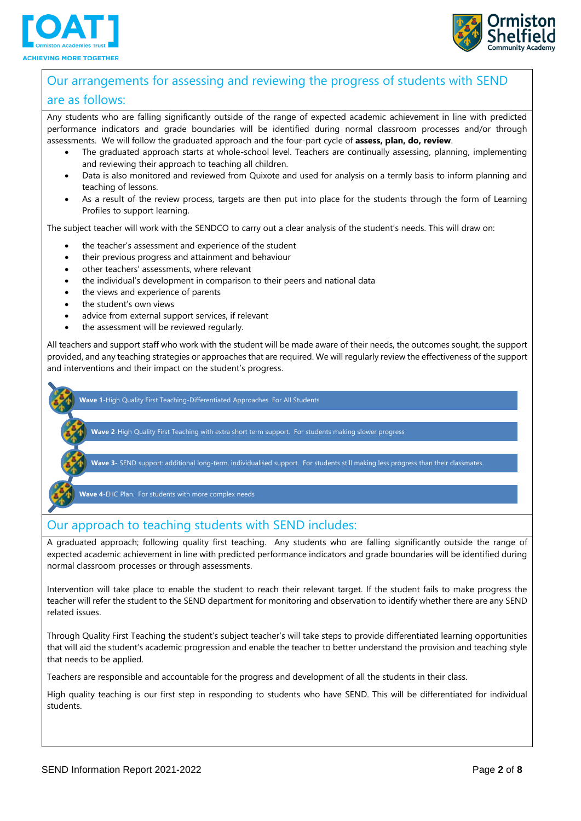



## Our arrangements for assessing and reviewing the progress of students with SEND are as follows:

Any students who are falling significantly outside of the range of expected academic achievement in line with predicted performance indicators and grade boundaries will be identified during normal classroom processes and/or through assessments. We will follow the graduated approach and the four-part cycle of **assess, plan, do, review**.

- The graduated approach starts at whole-school level. Teachers are continually assessing, planning, implementing and reviewing their approach to teaching all children.
- Data is also monitored and reviewed from Quixote and used for analysis on a termly basis to inform planning and teaching of lessons.
- As a result of the review process, targets are then put into place for the students through the form of Learning Profiles to support learning.

The subject teacher will work with the SENDCO to carry out a clear analysis of the student's needs. This will draw on:

- the teacher's assessment and experience of the student
- their previous progress and attainment and behaviour
- other teachers' assessments, where relevant
- the individual's development in comparison to their peers and national data
- the views and experience of parents
- the student's own views
- advice from external support services, if relevant
- the assessment will be reviewed regularly.

All teachers and support staff who work with the student will be made aware of their needs, the outcomes sought, the support provided, and any teaching strategies or approaches that are required. We will regularly review the effectiveness of the support and interventions and their impact on the student's progress.

**Wave 1**-High Quality First Teaching-Differentiated Approaches. For All Students

**Wave 2**-High Quality First Teaching with extra short term support. For students making slower progress

**Wave 3-** SEND support: additional long-term, individualised support. For students still making less progress than their classmates.

**Wave 4**-EHC Plan. For students with more complex needs

### Our approach to teaching students with SEND includes:

A graduated approach; following quality first teaching. Any students who are falling significantly outside the range of expected academic achievement in line with predicted performance indicators and grade boundaries will be identified during normal classroom processes or through assessments.

Intervention will take place to enable the student to reach their relevant target. If the student fails to make progress the teacher will refer the student to the SEND department for monitoring and observation to identify whether there are any SEND related issues.

Through Quality First Teaching the student's subject teacher's will take steps to provide differentiated learning opportunities that will aid the student's academic progression and enable the teacher to better understand the provision and teaching style that needs to be applied.

Teachers are responsible and accountable for the progress and development of all the students in their class.

High quality teaching is our first step in responding to students who have SEND. This will be differentiated for individual students.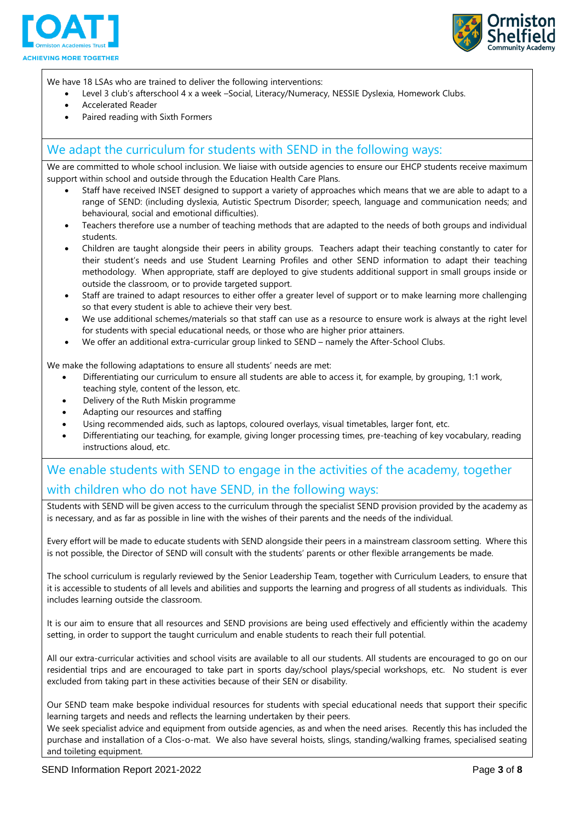



We have 18 LSAs who are trained to deliver the following interventions:

- Level 3 club's afterschool 4 x a week –Social, Literacy/Numeracy, NESSIE Dyslexia, Homework Clubs.
- Accelerated Reader
- Paired reading with Sixth Formers

#### We adapt the curriculum for students with SEND in the following ways:

We are committed to whole school inclusion. We liaise with outside agencies to ensure our EHCP students receive maximum support within school and outside through the Education Health Care Plans.

- Staff have received INSET designed to support a variety of approaches which means that we are able to adapt to a range of SEND: (including dyslexia, Autistic Spectrum Disorder; speech, language and communication needs; and behavioural, social and emotional difficulties).
- Teachers therefore use a number of teaching methods that are adapted to the needs of both groups and individual students.
- Children are taught alongside their peers in ability groups. Teachers adapt their teaching constantly to cater for their student's needs and use Student Learning Profiles and other SEND information to adapt their teaching methodology. When appropriate, staff are deployed to give students additional support in small groups inside or outside the classroom, or to provide targeted support.
- Staff are trained to adapt resources to either offer a greater level of support or to make learning more challenging so that every student is able to achieve their very best.
- We use additional schemes/materials so that staff can use as a resource to ensure work is always at the right level for students with special educational needs, or those who are higher prior attainers.
- We offer an additional extra-curricular group linked to SEND namely the After-School Clubs.

We make the following adaptations to ensure all students' needs are met:

- Differentiating our curriculum to ensure all students are able to access it, for example, by grouping, 1:1 work, teaching style, content of the lesson, etc.
- Delivery of the Ruth Miskin programme
- Adapting our resources and staffing
- Using recommended aids, such as laptops, coloured overlays, visual timetables, larger font, etc.
- Differentiating our teaching, for example, giving longer processing times, pre-teaching of key vocabulary, reading instructions aloud, etc.

## We enable students with SEND to engage in the activities of the academy, together with children who do not have SEND, in the following ways:

Students with SEND will be given access to the curriculum through the specialist SEND provision provided by the academy as is necessary, and as far as possible in line with the wishes of their parents and the needs of the individual.

Every effort will be made to educate students with SEND alongside their peers in a mainstream classroom setting. Where this is not possible, the Director of SEND will consult with the students' parents or other flexible arrangements be made.

The school curriculum is regularly reviewed by the Senior Leadership Team, together with Curriculum Leaders, to ensure that it is accessible to students of all levels and abilities and supports the learning and progress of all students as individuals. This includes learning outside the classroom.

It is our aim to ensure that all resources and SEND provisions are being used effectively and efficiently within the academy setting, in order to support the taught curriculum and enable students to reach their full potential.

All our extra-curricular activities and school visits are available to all our students. All students are encouraged to go on our residential trips and are encouraged to take part in sports day/school plays/special workshops, etc. No student is ever excluded from taking part in these activities because of their SEN or disability.

Our SEND team make bespoke individual resources for students with special educational needs that support their specific learning targets and needs and reflects the learning undertaken by their peers.

We seek specialist advice and equipment from outside agencies, as and when the need arises. Recently this has included the purchase and installation of a Clos-o-mat. We also have several hoists, slings, standing/walking frames, specialised seating and toileting equipment.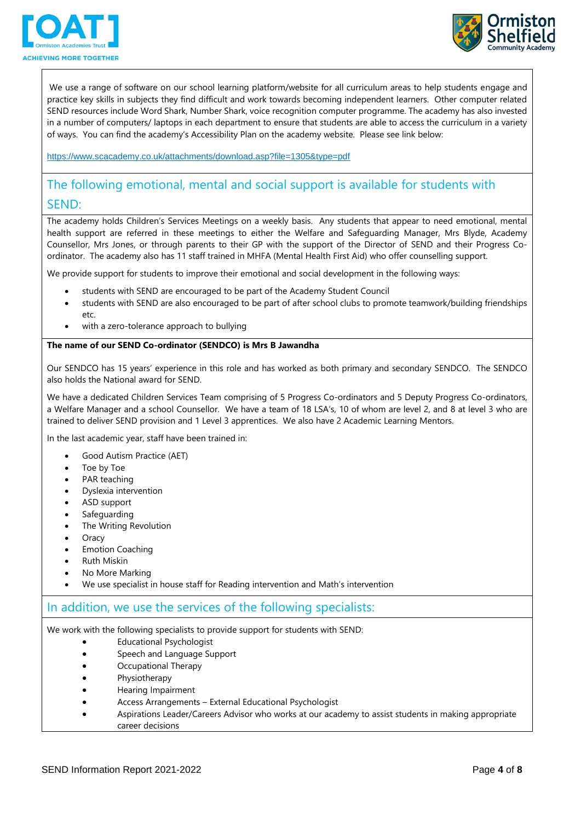



We use a range of software on our school learning platform/website for all curriculum areas to help students engage and practice key skills in subjects they find difficult and work towards becoming independent learners. Other computer related SEND resources include Word Shark, Number Shark, voice recognition computer programme. The academy has also invested in a number of computers/ laptops in each department to ensure that students are able to access the curriculum in a variety of ways. You can find the academy's Accessibility Plan on the academy website. Please see link below:

<https://www.scacademy.co.uk/attachments/download.asp?file=1305&type=pdf>

## The following emotional, mental and social support is available for students with SEND:

The academy holds Children's Services Meetings on a weekly basis. Any students that appear to need emotional, mental health support are referred in these meetings to either the Welfare and Safeguarding Manager, Mrs Blyde, Academy Counsellor, Mrs Jones, or through parents to their GP with the support of the Director of SEND and their Progress Coordinator. The academy also has 11 staff trained in MHFA (Mental Health First Aid) who offer counselling support.

We provide support for students to improve their emotional and social development in the following ways:

- students with SEND are encouraged to be part of the Academy Student Council
- students with SEND are also encouraged to be part of after school clubs to promote teamwork/building friendships etc.
- with a zero-tolerance approach to bullying

#### **The name of our SEND Co-ordinator (SENDCO) is Mrs B Jawandha**

Our SENDCO has 15 years' experience in this role and has worked as both primary and secondary SENDCO. The SENDCO also holds the National award for SEND.

We have a dedicated Children Services Team comprising of 5 Progress Co-ordinators and 5 Deputy Progress Co-ordinators, a Welfare Manager and a school Counsellor. We have a team of 18 LSA's, 10 of whom are level 2, and 8 at level 3 who are trained to deliver SEND provision and 1 Level 3 apprentices. We also have 2 Academic Learning Mentors.

In the last academic year, staff have been trained in:

- Good Autism Practice (AET)
- Toe by Toe
- PAR teaching
- Dyslexia intervention
- ASD support
- Safeguarding
- The Writing Revolution
- Oracy
- Emotion Coaching
- Ruth Miskin
- No More Marking
- We use specialist in house staff for Reading intervention and Math's intervention

#### In addition, we use the services of the following specialists:

We work with the following specialists to provide support for students with SEND:

- Educational Psychologist
- Speech and Language Support
- Occupational Therapy
- Physiotherapy
- Hearing Impairment
- Access Arrangements External Educational Psychologist
- Aspirations Leader/Careers Advisor who works at our academy to assist students in making appropriate career decisions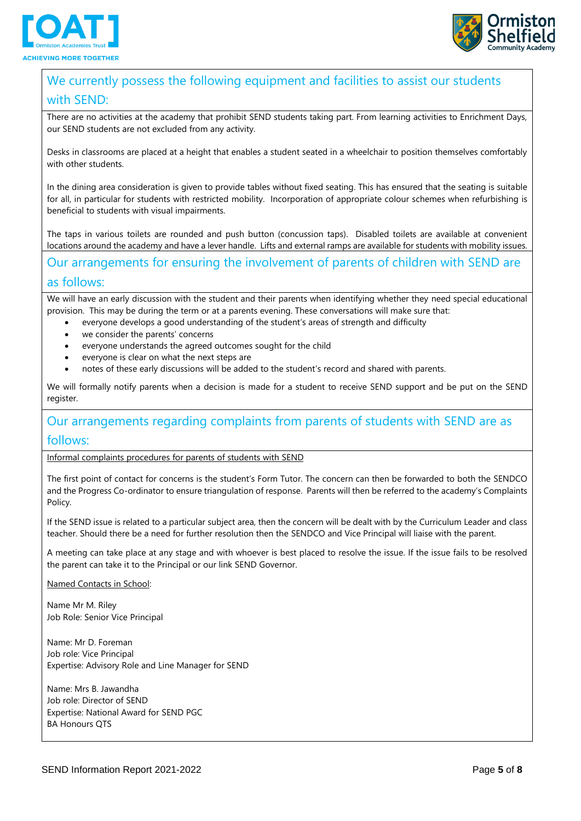



# We currently possess the following equipment and facilities to assist our students

#### with SEND:

There are no activities at the academy that prohibit SEND students taking part. From learning activities to Enrichment Days, our SEND students are not excluded from any activity.

Desks in classrooms are placed at a height that enables a student seated in a wheelchair to position themselves comfortably with other students.

In the dining area consideration is given to provide tables without fixed seating. This has ensured that the seating is suitable for all, in particular for students with restricted mobility. Incorporation of appropriate colour schemes when refurbishing is beneficial to students with visual impairments.

The taps in various toilets are rounded and push button (concussion taps). Disabled toilets are available at convenient locations around the academy and have a lever handle. Lifts and external ramps are available for students with mobility issues.

# Our arrangements for ensuring the involvement of parents of children with SEND are

#### as follows:

We will have an early discussion with the student and their parents when identifying whether they need special educational provision. This may be during the term or at a parents evening. These conversations will make sure that:

- everyone develops a good understanding of the student's areas of strength and difficulty
- we consider the parents' concerns
- everyone understands the agreed outcomes sought for the child
- everyone is clear on what the next steps are
- notes of these early discussions will be added to the student's record and shared with parents.

We will formally notify parents when a decision is made for a student to receive SEND support and be put on the SEND register.

# Our arrangements regarding complaints from parents of students with SEND are as

#### follows:

Informal complaints procedures for parents of students with SEND

The first point of contact for concerns is the student's Form Tutor. The concern can then be forwarded to both the SENDCO and the Progress Co-ordinator to ensure triangulation of response. Parents will then be referred to the academy's Complaints Policy.

If the SEND issue is related to a particular subject area, then the concern will be dealt with by the Curriculum Leader and class teacher. Should there be a need for further resolution then the SENDCO and Vice Principal will liaise with the parent.

A meeting can take place at any stage and with whoever is best placed to resolve the issue. If the issue fails to be resolved the parent can take it to the Principal or our link SEND Governor.

#### Named Contacts in School:

Name Mr M. Riley Job Role: Senior Vice Principal

Name: Mr D. Foreman Job role: Vice Principal Expertise: Advisory Role and Line Manager for SEND

Name: Mrs B. Jawandha Job role: Director of SEND Expertise: National Award for SEND PGC BA Honours QTS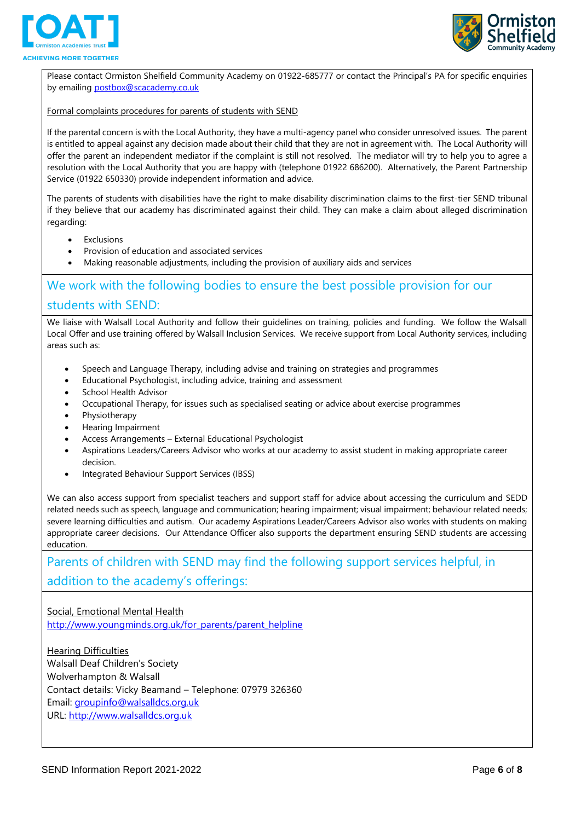



Please contact Ormiston Shelfield Community Academy on 01922-685777 or contact the Principal's PA for specific enquiries by emailin[g postbox@scacademy.co.uk](mailto:postbox@scacademy.co.uk)

#### Formal complaints procedures for parents of students with SEND

If the parental concern is with the Local Authority, they have a multi-agency panel who consider unresolved issues. The parent is entitled to appeal against any decision made about their child that they are not in agreement with. The Local Authority will offer the parent an independent mediator if the complaint is still not resolved. The mediator will try to help you to agree a resolution with the Local Authority that you are happy with (telephone 01922 686200). Alternatively, the Parent Partnership Service (01922 650330) provide independent information and advice.

The parents of students with disabilities have the right to make disability discrimination claims to the first-tier SEND tribunal if they believe that our academy has discriminated against their child. They can make a claim about alleged discrimination regarding:

- Exclusions
- Provision of education and associated services
- Making reasonable adjustments, including the provision of auxiliary aids and services

## We work with the following bodies to ensure the best possible provision for our students with SEND:

We liaise with Walsall Local Authority and follow their guidelines on training, policies and funding. We follow the Walsall Local Offer and use training offered by Walsall Inclusion Services. We receive support from Local Authority services, including areas such as:

- Speech and Language Therapy, including advise and training on strategies and programmes
- Educational Psychologist, including advice, training and assessment
- School Health Advisor
- Occupational Therapy, for issues such as specialised seating or advice about exercise programmes
- Physiotherapy
- Hearing Impairment
- Access Arrangements External Educational Psychologist
- Aspirations Leaders/Careers Advisor who works at our academy to assist student in making appropriate career decision.
- Integrated Behaviour Support Services (IBSS)

We can also access support from specialist teachers and support staff for advice about accessing the curriculum and SEDD related needs such as speech, language and communication; hearing impairment; visual impairment; behaviour related needs; severe learning difficulties and autism. Our academy Aspirations Leader/Careers Advisor also works with students on making appropriate career decisions. Our Attendance Officer also supports the department ensuring SEND students are accessing education.

Parents of children with SEND may find the following support services helpful, in addition to the academy's offerings:

Social, Emotional Mental Health [http://www.youngminds.org.uk/for\\_parents/parent\\_helpline](http://www.youngminds.org.uk/for_parents/parent_helpline)

Hearing Difficulties Walsall Deaf Children's Society Wolverhampton & Walsall Contact details: Vicky Beamand – Telephone: 07979 326360 Email: [groupinfo@walsalldcs.org.uk](mailto:groupinfo@walsalldcs.org.uk?subject=This%20email%20came%20via%20Netmums.com&body=%0A%0A%0A%0A---------%0AThis%20email%20came%20via%20Netmums.com) URL: [http://www.walsalldcs.org.uk](http://www.walsalldcs.org.uk/)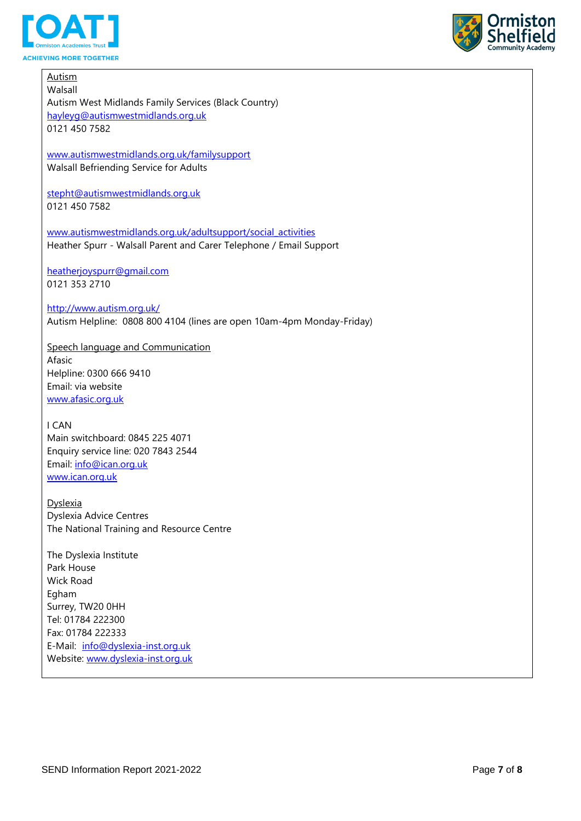



Autism Walsall Autism West Midlands Family Services (Black Country) [hayleyg@autismwestmidlands.org.uk](mailto:hayleyg@autismwestmidlands.org.uk) 0121 450 7582 [www.autismwestmidlands.org.uk/familysupport](http://www.autismwestmidlands.org.uk/familysupport) Walsall Befriending Service for Adults [stepht@autismwestmidlands.org.uk](mailto:stepht@autismwestmidlands.org.uk) 0121 450 7582 [www.autismwestmidlands.org.uk/adultsupport/social\\_activities](http://www.autismwestmidlands.org.uk/adultsupport/social_activities) Heather Spurr - Walsall Parent and Carer Telephone / Email Support [heatherjoyspurr@gmail.com](mailto:heatherjoyspurr@gmail.com) 0121 353 2710 <http://www.autism.org.uk/> Autism Helpline: 0808 800 4104 (lines are open 10am-4pm Monday-Friday) Speech language and Communication Afasic Helpline: 0300 666 9410 Email: via website [www.afasic.org.uk](http://www.afasic.org.uk/) I CAN Main switchboard: 0845 225 4071 Enquiry service line: 020 7843 2544 Email: [info@ican.org.uk](mailto:info@ican.org.uk) [www.ican.org.uk](http://www.ican.org.uk/) Dyslexia Dyslexia Advice Centres The National Training and Resource Centre The Dyslexia Institute Park House Wick Road Egham Surrey, TW20 0HH Tel: 01784 222300 Fax: 01784 222333 E-Mail: [info@dyslexia-inst.org.uk](mailto:info@dyslexia-inst.org.uk) Website: [www.dyslexia-inst.org.uk](http://www.dyslexia-inst.org.uk/)